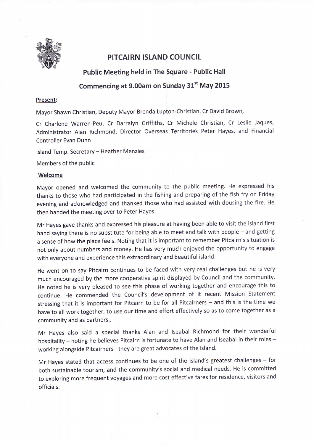

## PITCAIRN ISLAND COUNCIL

Public Meeting held in The SqUare - Public Hall

## Commencing at 9.00am on Sunday 31" May 2015

## Present:

Mayor Shawn Christian, Deputy Mayor Brenda Lupton-Christian, Cr David Brown,

Cr Charlene Warren-Peu, Cr Darralyn Griffiths, Cr Michele Christian, Cr Leslie Jaques, Administrator Alan Richmond, Director Overseas Territorie5 Peter Hayes, and Financial Controller Evan Dunn

Island Temp. Secretary - Heather Menzies

Members of the public

## Welcome

Mayor opened and welcomed the community to the public meeting. He expressed his thanks to those who had participated in the fishing and preparing of the fish fry on Friday evening and acknowledged and thanked those who had assisted with dousing the fire. He then handed the meeting over to Peter Hayes.

Mr Hayes gave thanks and expressed his pleasure at having been able to visit the island first hand saying there is no substitute for being able to meet and talk with people - and getting <sup>a</sup>sense of how the place feels. Noting that it is important to remember Pitcairn's situation is not only about numbers and money. He has very much enjoyed the opportunity to engage with everyone and experience this extraordinary and beautiful island.

He went on to say Pitcairn continues to be faced with very real challenges but he is very much encouraged by the more cooperative spirit displayed by Council and the community. He noted he is very pleased to see this phase of working together and encourage this to continue. He commended the Council's development of it recent Mission Statement stressing that it is important for Pitcairn to be for all Pitcairners - and this is the time we have to all work together, to use our time and effort effectively so as to come together as <sup>a</sup> community and as partners..

Mr Hayes also said a special thanks Alan and lseabal Rlchmond for their wonderful hospitality - noting he believes Pitcairn is fortunate to have Alan and Iseabal in their roles working alongside Pitcairners - they are great advocates of the island.

Mr Hayes stated that access continues to be one of the island's greatest challenges  $-$  for both sustainable tourism, and the community's social and medical needs. He is committed to exploring more frequent voyages and more cost effective fares for residence, visitors and officials.